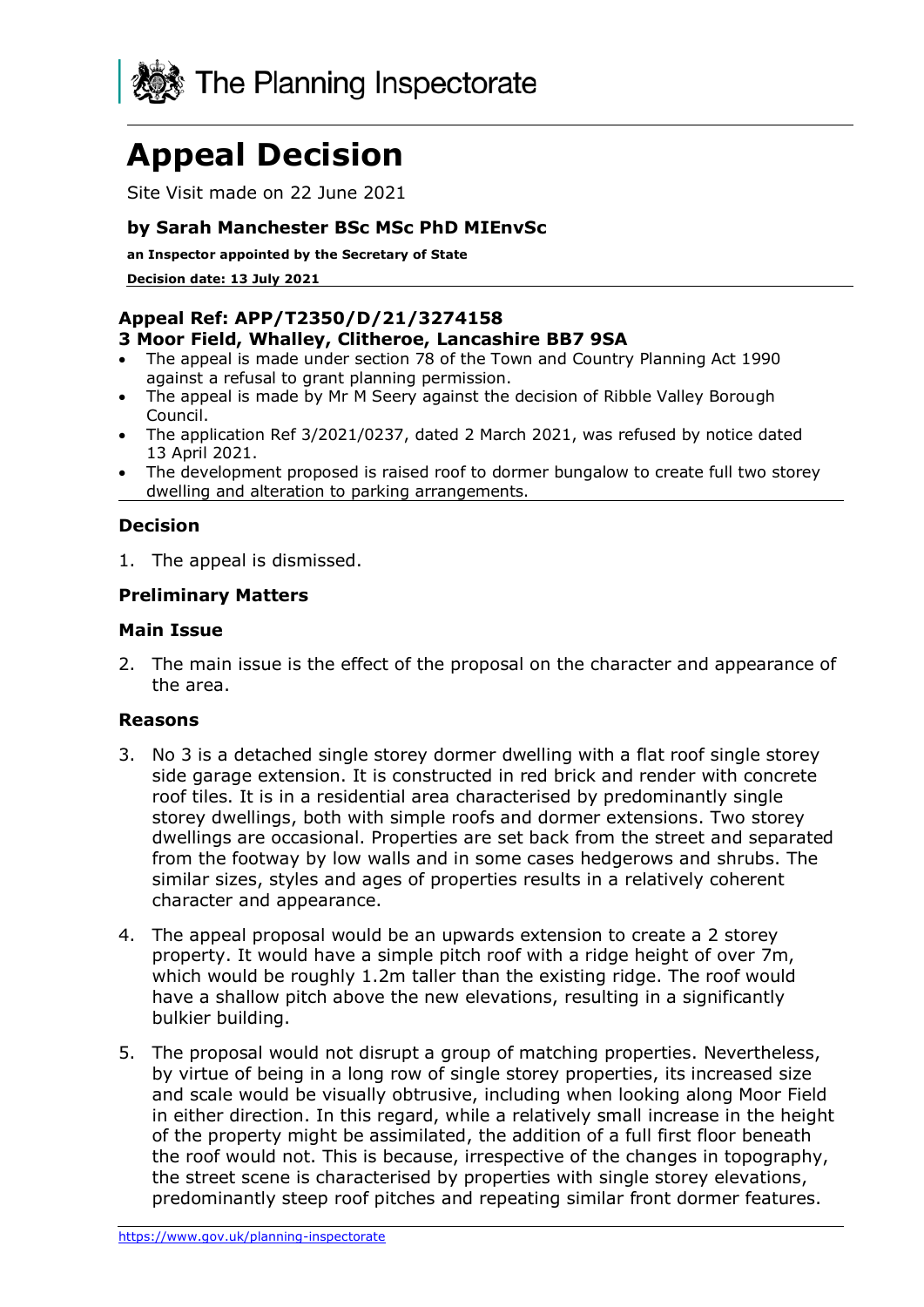

# **Appeal Decision**

Site Visit made on 22 June 2021

## **by Sarah Manchester BSc MSc PhD MIEnvSc**

**an Inspector appointed by the Secretary of State** 

**Decision date: 13 July 2021**

# **Appeal Ref: APP/T2350/D/21/3274158**

#### **3 Moor Field, Whalley, Clitheroe, Lancashire BB7 9SA**

- The appeal is made under section 78 of the Town and Country Planning Act 1990 against a refusal to grant planning permission.
- The appeal is made by Mr M Seery against the decision of Ribble Valley Borough Council.
- The application Ref 3/2021/0237, dated 2 March 2021, was refused by notice dated 13 April 2021.
- The development proposed is raised roof to dormer bungalow to create full two storey dwelling and alteration to parking arrangements.

### **Decision**

1. The appeal is dismissed.

#### **Preliminary Matters**

#### **Main Issue**

2. The main issue is the effect of the proposal on the character and appearance of the area.

#### **Reasons**

- 3. No 3 is a detached single storey dormer dwelling with a flat roof single storey side garage extension. It is constructed in red brick and render with concrete roof tiles. It is in a residential area characterised by predominantly single storey dwellings, both with simple roofs and dormer extensions. Two storey dwellings are occasional. Properties are set back from the street and separated from the footway by low walls and in some cases hedgerows and shrubs. The similar sizes, styles and ages of properties results in a relatively coherent character and appearance.
- 4. The appeal proposal would be an upwards extension to create a 2 storey property. It would have a simple pitch roof with a ridge height of over 7m, which would be roughly 1.2m taller than the existing ridge. The roof would have a shallow pitch above the new elevations, resulting in a significantly bulkier building.
- 5. The proposal would not disrupt a group of matching properties. Nevertheless, by virtue of being in a long row of single storey properties, its increased size and scale would be visually obtrusive, including when looking along Moor Field in either direction. In this regard, while a relatively small increase in the height of the property might be assimilated, the addition of a full first floor beneath the roof would not. This is because, irrespective of the changes in topography, the street scene is characterised by properties with single storey elevations, predominantly steep roof pitches and repeating similar front dormer features.